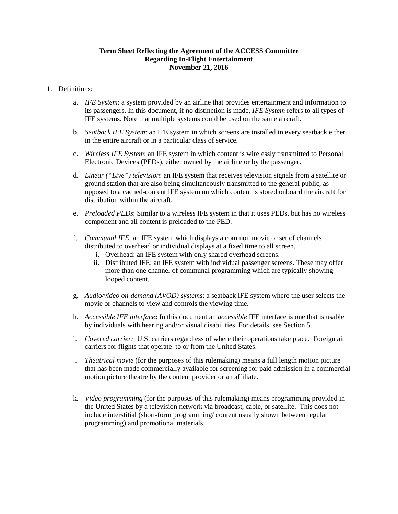# **Term Sheet Reflecting the Agreement of the ACCESS Committee Regarding In-Flight Entertainment November 21, 2016**

- 1. Definitions:
	- a. *IFE System*: a system provided by an airline that provides entertainment and information to its passengers. In this document, if no distinction is made, *IFE System* refers to all types of IFE systems. Note that multiple systems could be used on the same aircraft.
	- b. *Seatback IFE System*: an IFE system in which screens are installed in every seatback either in the entire aircraft or in a particular class of service.
	- c. *Wireless IFE System*: an IFE system in which content is wirelessly transmitted to Personal Electronic Devices (PEDs), either owned by the airline or by the passenger.
	- d. *Linear ("Live") television*: an IFE system that receives television signals from a satellite or ground station that are also being simultaneously transmitted to the general public, as opposed to a cached-content IFE system on which content is stored onboard the aircraft for distribution within the aircraft.
	- e. *Preloaded PEDs*: Similar to a wireless IFE system in that it uses PEDs, but has no wireless component and all content is preloaded to the PED.
	- f. *Communal IFE*: an IFE system which displays a common movie or set of channels distributed to overhead or individual displays at a fixed time to all screen.
		- i. Overhead: an IFE system with only shared overhead screens.
		- ii. Distributed IFE: an IFE system with individual passenger screens. These may offer more than one channel of communal programming which are typically showing looped content.
	- g. *Audio/video on-demand (AVOD) systems*: a seatback IFE system where the user selects the movie or channels to view and controls the viewing time.
	- h. *Accessible IFE interface***:** In this document an *accessible* IFE interface is one that is usable by individuals with hearing and/or visual disabilities. For details, see Section 5.
	- i. *Covered carrier:* U.S. carriers regardless of where their operations take place. Foreign air carriers for flights that operate to or from the United States.
	- j. *Theatrical movie* (for the purposes of this rulemaking) means a full length motion picture that has been made commercially available for screening for paid admission in a commercial motion picture theatre by the content provider or an affiliate.
	- k. *Video programming* (for the purposes of this rulemaking) means programming provided in the United States by a television network via broadcast, cable, or satellite. This does not include interstitial (short-form programming/ content usually shown between regular programming) and promotional materials.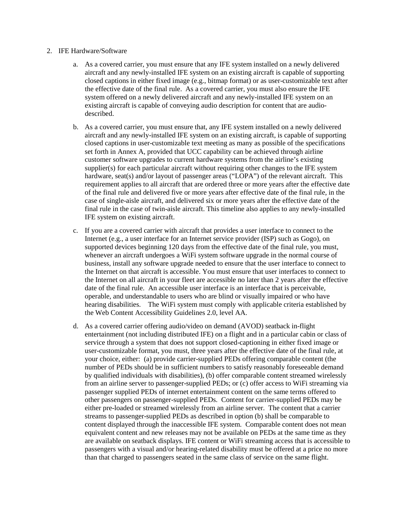#### 2. IFE Hardware/Software

- a. As a covered carrier, you must ensure that any IFE system installed on a newly delivered aircraft and any newly-installed IFE system on an existing aircraft is capable of supporting closed captions in either fixed image (e.g., bitmap format) or as user-customizable text after the effective date of the final rule. As a covered carrier, you must also ensure the IFE system offered on a newly delivered aircraft and any newly-installed IFE system on an existing aircraft is capable of conveying audio description for content that are audiodescribed.
- b. As a covered carrier, you must ensure that, any IFE system installed on a newly delivered aircraft and any newly-installed IFE system on an existing aircraft, is capable of supporting closed captions in user-customizable text meeting as many as possible of the specifications set forth in Annex A, provided that UCC capability can be achieved through airline customer software upgrades to current hardware systems from the airline's existing supplier(s) for each particular aircraft without requiring other changes to the IFE system hardware, seat(s) and/or layout of passenger areas ("LOPA") of the relevant aircraft. This requirement applies to all aircraft that are ordered three or more years after the effective date of the final rule and delivered five or more years after effective date of the final rule, in the case of single-aisle aircraft, and delivered six or more years after the effective date of the final rule in the case of twin-aisle aircraft. This timeline also applies to any newly-installed IFE system on existing aircraft.
- c. If you are a covered carrier with aircraft that provides a user interface to connect to the Internet (e.g., a user interface for an Internet service provider (ISP) such as Gogo), on supported devices beginning 120 days from the effective date of the final rule, you must, whenever an aircraft undergoes a WiFi system software upgrade in the normal course of business, install any software upgrade needed to ensure that the user interface to connect to the Internet on that aircraft is accessible. You must ensure that user interfaces to connect to the Internet on all aircraft in your fleet are accessible no later than 2 years after the effective date of the final rule. An accessible user interface is an interface that is perceivable, operable, and understandable to users who are blind or visually impaired or who have hearing disabilities. The WiFi system must comply with applicable criteria established by the Web Content Accessibility Guidelines 2.0, level AA.
- d. As a covered carrier offering audio/video on demand (AVOD) seatback in-flight entertainment (not including distributed IFE) on a flight and in a particular cabin or class of service through a system that does not support closed-captioning in either fixed image or user-customizable format, you must, three years after the effective date of the final rule, at your choice, either: (a) provide carrier-supplied PEDs offering comparable content (the number of PEDs should be in sufficient numbers to satisfy reasonably foreseeable demand by qualified individuals with disabilities), (b) offer comparable content streamed wirelessly from an airline server to passenger-supplied PEDs; or (c) offer access to WiFi streaming via passenger supplied PEDs of internet entertainment content on the same terms offered to other passengers on passenger-supplied PEDs. Content for carrier-supplied PEDs may be either pre-loaded or streamed wirelessly from an airline server. The content that a carrier streams to passenger-supplied PEDs as described in option (b) shall be comparable to content displayed through the inaccessible IFE system. Comparable content does not mean equivalent content and new releases may not be available on PEDs at the same time as they are available on seatback displays. IFE content or WiFi streaming access that is accessible to passengers with a visual and/or hearing-related disability must be offered at a price no more than that charged to passengers seated in the same class of service on the same flight.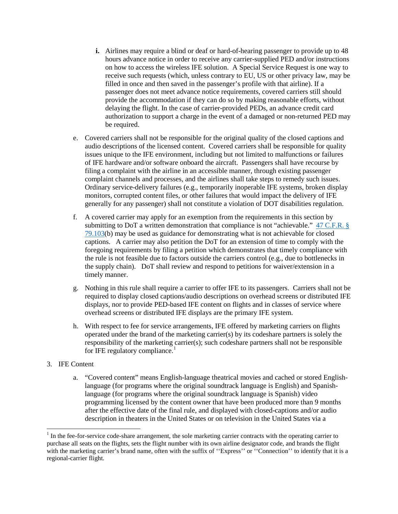- **i.** Airlines may require a blind or deaf or hard-of-hearing passenger to provide up to 48 hours advance notice in order to receive any carrier-supplied PED and/or instructions on how to access the wireless IFE solution. A Special Service Request is one way to receive such requests (which, unless contrary to EU, US or other privacy law, may be filled in once and then saved in the passenger's profile with that airline). If a passenger does not meet advance notice requirements, covered carriers still should provide the accommodation if they can do so by making reasonable efforts, without delaying the flight. In the case of carrier-provided PEDs, an advance credit card authorization to support a charge in the event of a damaged or non-returned PED may be required.
- e. Covered carriers shall not be responsible for the original quality of the closed captions and audio descriptions of the licensed content. Covered carriers shall be responsible for quality issues unique to the IFE environment, including but not limited to malfunctions or failures of IFE hardware and/or software onboard the aircraft. Passengers shall have recourse by filing a complaint with the airline in an accessible manner, through existing passenger complaint channels and processes, and the airlines shall take steps to remedy such issues. Ordinary service-delivery failures (e.g., temporarily inoperable IFE systems, broken display monitors, corrupted content files, or other failures that would impact the delivery of IFE generally for any passenger) shall not constitute a violation of DOT disabilities regulation.
- f. A covered carrier may apply for an exemption from the requirements in this section by submitting to DoT a written demonstration that compliance is not "achievable." [47 C.F.R. §](https://www.law.cornell.edu/cfr/text/47/79.103)  [79.103\(](https://www.law.cornell.edu/cfr/text/47/79.103)b) may be used as guidance for demonstrating what is not achievable for closed captions. A carrier may also petition the DoT for an extension of time to comply with the foregoing requirements by filing a petition which demonstrates that timely compliance with the rule is not feasible due to factors outside the carriers control (e.g., due to bottlenecks in the supply chain). DoT shall review and respond to petitions for waiver/extension in a timely manner.
- g. Nothing in this rule shall require a carrier to offer IFE to its passengers. Carriers shall not be required to display closed captions/audio descriptions on overhead screens or distributed IFE displays, nor to provide PED-based IFE content on flights and in classes of service where overhead screens or distributed IFE displays are the primary IFE system.
- h. With respect to fee for service arrangements, IFE offered by marketing carriers on flights operated under the brand of the marketing carrier(s) by its codeshare partners is solely the responsibility of the marketing carrier(s); such codeshare partners shall not be responsible for IFE regulatory compliance. $<sup>1</sup>$  $<sup>1</sup>$  $<sup>1</sup>$ </sup>
- 3. IFE Content
	- a. "Covered content" means English-language theatrical movies and cached or stored Englishlanguage (for programs where the original soundtrack language is English) and Spanishlanguage (for programs where the original soundtrack language is Spanish) video programming licensed by the content owner that have been produced more than 9 months after the effective date of the final rule, and displayed with closed-captions and/or audio description in theaters in the United States or on television in the United States via a

<span id="page-2-0"></span> $1$  In the fee-for-service code-share arrangement, the sole marketing carrier contracts with the operating carrier to purchase all seats on the flights, sets the flight number with its own airline designator code, and brands the flight with the marketing carrier's brand name, often with the suffix of "Express" or "Connection" to identify that it is a regional-carrier flight.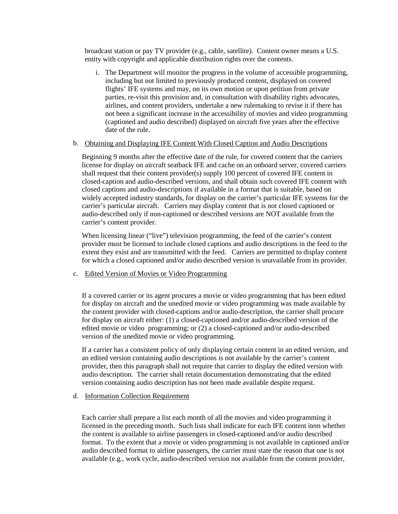broadcast station or pay TV provider (e.g., cable, satellite). Content owner means a U.S. entity with copyright and applicable distribution rights over the contents.

i. The Department will monitor the progress in the volume of accessible programming, including but not limited to previously produced content, displayed on covered flights' IFE systems and may, on its own motion or upon petition from private parties, re-visit this provision and, in consultation with disability rights advocates, airlines, and content providers, undertake a new rulemaking to revise it if there has not been a significant increase in the accessibility of movies and video programming (captioned and audio described) displayed on aircraft five years after the effective date of the rule.

## b. Obtaining and Displaying IFE Content With Closed Caption and Audio Descriptions

Beginning 9 months after the effective date of the rule, for covered content that the carriers license for display on aircraft seatback IFE and cache on an onboard server, covered carriers shall request that their content provider(s) supply 100 percent of covered IFE content in closed-caption and audio-described versions, and shall obtain such covered IFE content with closed captions and audio-descriptions if available in a format that is suitable, based on widely accepted industry standards, for display on the carrier's particular IFE systems for the carrier's particular aircraft. Carriers may display content that is not closed captioned or audio-described only if non-captioned or described versions are NOT available from the carrier's content provider.

When licensing linear ("live") television programming, the feed of the carrier's content provider must be licensed to include closed captions and audio descriptions in the feed to the extent they exist and are transmitted with the feed. Carriers are permitted to display content for which a closed captioned and/or audio described version is unavailable from its provider.

# c. Edited Version of Movies or Video Programming

If a covered carrier or its agent procures a movie or video programming that has been edited for display on aircraft and the unedited movie or video programming was made available by the content provider with closed-captions and/or audio-description, the carrier shall procure for display on aircraft either: (1) a closed-captioned and/or audio-described version of the edited movie or video programming; or (2) a closed-captioned and/or audio-described version of the unedited movie or video programming.

If a carrier has a consistent policy of only displaying certain content in an edited version, and an edited version containing audio descriptions is not available by the carrier's content provider, then this paragraph shall not require that carrier to display the edited version with audio description. The carrier shall retain documentation demonstrating that the edited version containing audio description has not been made available despite request.

## d. Information Collection Requirement

Each carrier shall prepare a list each month of all the movies and video programming it licensed in the preceding month. Such lists shall indicate for each IFE content item whether the content is available to airline passengers in closed-captioned and/or audio described format. To the extent that a movie or video programming is not available in captioned and/or audio described format to airline passengers, the carrier must state the reason that one is not available (e.g., work cycle, audio-described version not available from the content provider,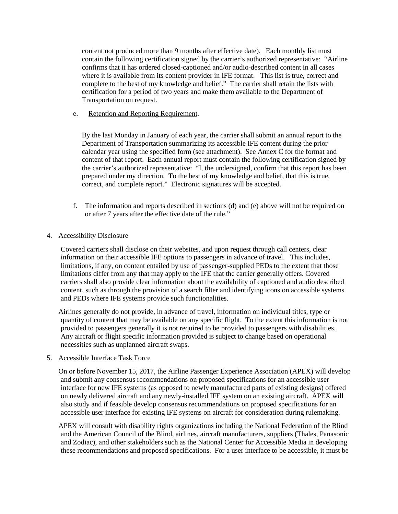content not produced more than 9 months after effective date). Each monthly list must contain the following certification signed by the carrier's authorized representative: "Airline confirms that it has ordered closed-captioned and/or audio-described content in all cases where it is available from its content provider in IFE format. This list is true, correct and complete to the best of my knowledge and belief." The carrier shall retain the lists with certification for a period of two years and make them available to the Department of Transportation on request.

e. Retention and Reporting Requirement.

By the last Monday in January of each year, the carrier shall submit an annual report to the Department of Transportation summarizing its accessible IFE content during the prior calendar year using the specified form (see attachment). See Annex C for the format and content of that report. Each annual report must contain the following certification signed by the carrier's authorized representative: "I, the undersigned, confirm that this report has been prepared under my direction. To the best of my knowledge and belief, that this is true, correct, and complete report." Electronic signatures will be accepted.

- f. The information and reports described in sections (d) and (e) above will not be required on or after 7 years after the effective date of the rule."
- 4. Accessibility Disclosure

Covered carriers shall disclose on their websites, and upon request through call centers, clear information on their accessible IFE options to passengers in advance of travel. This includes, limitations, if any, on content entailed by use of passenger-supplied PEDs to the extent that those limitations differ from any that may apply to the IFE that the carrier generally offers. Covered carriers shall also provide clear information about the availability of captioned and audio described content, such as through the provision of a search filter and identifying icons on accessible systems and PEDs where IFE systems provide such functionalities.

Airlines generally do not provide, in advance of travel, information on individual titles, type or quantity of content that may be available on any specific flight. To the extent this information is not provided to passengers generally it is not required to be provided to passengers with disabilities. Any aircraft or flight specific information provided is subject to change based on operational necessities such as unplanned aircraft swaps.

5. Accessible Interface Task Force

On or before November 15, 2017, the Airline Passenger Experience Association (APEX) will develop and submit any consensus recommendations on proposed specifications for an accessible user interface for new IFE systems (as opposed to newly manufactured parts of existing designs) offered on newly delivered aircraft and any newly-installed IFE system on an existing aircraft. APEX will also study and if feasible develop consensus recommendations on proposed specifications for an accessible user interface for existing IFE systems on aircraft for consideration during rulemaking.

APEX will consult with disability rights organizations including the National Federation of the Blind and the American Council of the Blind, airlines, aircraft manufacturers, suppliers (Thales, Panasonic and Zodiac), and other stakeholders such as the National Center for Accessible Media in developing these recommendations and proposed specifications. For a user interface to be accessible, it must be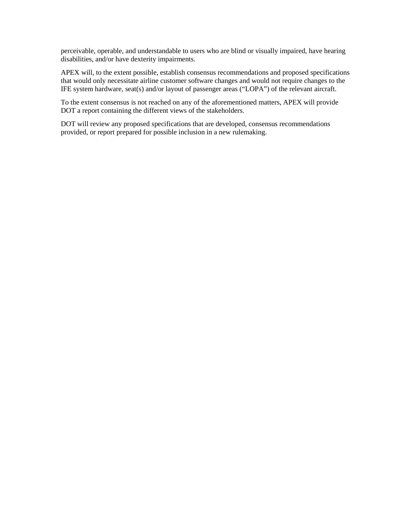perceivable, operable, and understandable to users who are blind or visually impaired, have hearing disabilities, and/or have dexterity impairments.

APEX will, to the extent possible, establish consensus recommendations and proposed specifications that would only necessitate airline customer software changes and would not require changes to the IFE system hardware, seat(s) and/or layout of passenger areas ("LOPA") of the relevant aircraft.

To the extent consensus is not reached on any of the aforementioned matters, APEX will provide DOT a report containing the different views of the stakeholders.

DOT will review any proposed specifications that are developed, consensus recommendations provided, or report prepared for possible inclusion in a new rulemaking.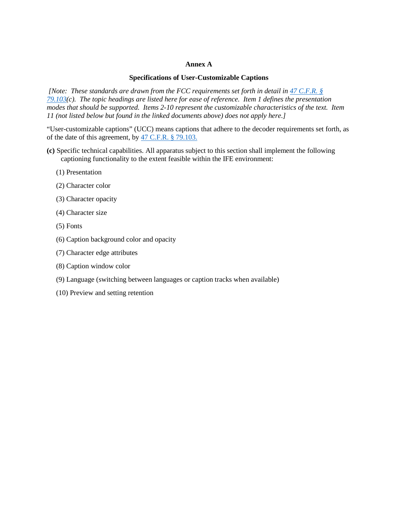## **Annex A**

#### **Specifications of User-Customizable Captions**

*[Note: These standards are drawn from the FCC requirements set forth in detail in 47 C.F.R. § [79.103\(](https://www.law.cornell.edu/cfr/text/47/79.103)c). The topic headings are listed here for ease of reference. Item 1 defines the presentation modes that should be supported. Items 2-10 represent the customizable characteristics of the text. Item 11 (not listed below but found in the linked documents above) does not apply here.]* 

"User-customizable captions" (UCC) means captions that adhere to the decoder requirements set forth, as of the date of this agreement, by [47 C.F.R. § 79.103.](https://www.law.cornell.edu/cfr/text/47/79.103)

**(c)** Specific technical capabilities. All apparatus subject to this section shall implement the following captioning functionality to the extent feasible within the IFE environment:

- (1) Presentation
- (2) Character color
- (3) Character opacity
- (4) Character size
- (5) Fonts
- (6) Caption background color and opacity
- (7) Character edge attributes
- (8) Caption window color
- (9) Language (switching between languages or caption tracks when available)
- (10) Preview and setting retention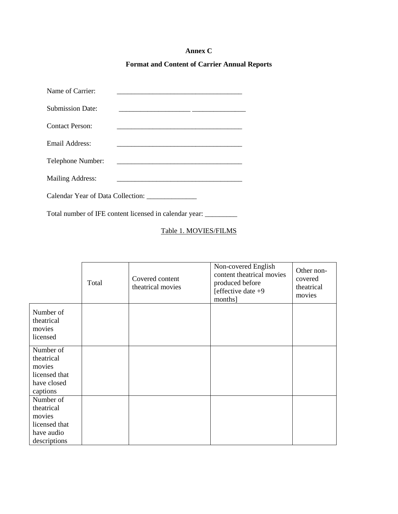# **Annex C**

# **Format and Content of Carrier Annual Reports**

| Name of Carrier:                  |  |  |  |  |  |
|-----------------------------------|--|--|--|--|--|
| <b>Submission Date:</b>           |  |  |  |  |  |
| Contact Person:                   |  |  |  |  |  |
| Email Address:                    |  |  |  |  |  |
| Telephone Number:                 |  |  |  |  |  |
| <b>Mailing Address:</b>           |  |  |  |  |  |
| Calendar Year of Data Collection: |  |  |  |  |  |

Total number of IFE content licensed in calendar year: \_\_\_\_\_\_\_\_\_

# Table 1. MOVIES/FILMS

|                                                                                  | Total | Covered content<br>theatrical movies | Non-covered English<br>content theatrical movies<br>produced before<br>[effective date $+9$<br>months] | Other non-<br>covered<br>theatrical<br>movies |
|----------------------------------------------------------------------------------|-------|--------------------------------------|--------------------------------------------------------------------------------------------------------|-----------------------------------------------|
| Number of<br>theatrical<br>movies<br>licensed                                    |       |                                      |                                                                                                        |                                               |
| Number of<br>theatrical<br>movies<br>licensed that<br>have closed<br>captions    |       |                                      |                                                                                                        |                                               |
| Number of<br>theatrical<br>movies<br>licensed that<br>have audio<br>descriptions |       |                                      |                                                                                                        |                                               |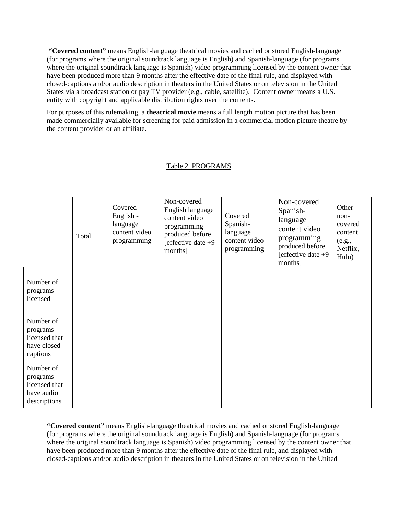**"Covered content"** means English-language theatrical movies and cached or stored English-language (for programs where the original soundtrack language is English) and Spanish-language (for programs where the original soundtrack language is Spanish) video programming licensed by the content owner that have been produced more than 9 months after the effective date of the final rule, and displayed with closed-captions and/or audio description in theaters in the United States or on television in the United States via a broadcast station or pay TV provider (e.g., cable, satellite). Content owner means a U.S. entity with copyright and applicable distribution rights over the contents.

For purposes of this rulemaking, a **theatrical movie** means a full length motion picture that has been made commercially available for screening for paid admission in a commercial motion picture theatre by the content provider or an affiliate.

|                                                                      | Total | Covered<br>English -<br>language<br>content video<br>programming | Non-covered<br>English language<br>content video<br>programming<br>produced before<br>[effective date $+9$<br>months] | Covered<br>Spanish-<br>language<br>content video<br>programming | Non-covered<br>Spanish-<br>language<br>content video<br>programming<br>produced before<br>[effective date $+9$<br>months] | Other<br>non-<br>covered<br>content<br>(e.g.,<br>Netflix,<br>Hulu) |
|----------------------------------------------------------------------|-------|------------------------------------------------------------------|-----------------------------------------------------------------------------------------------------------------------|-----------------------------------------------------------------|---------------------------------------------------------------------------------------------------------------------------|--------------------------------------------------------------------|
| Number of<br>programs<br>licensed                                    |       |                                                                  |                                                                                                                       |                                                                 |                                                                                                                           |                                                                    |
| Number of<br>programs<br>licensed that<br>have closed<br>captions    |       |                                                                  |                                                                                                                       |                                                                 |                                                                                                                           |                                                                    |
| Number of<br>programs<br>licensed that<br>have audio<br>descriptions |       |                                                                  |                                                                                                                       |                                                                 |                                                                                                                           |                                                                    |

# Table 2. PROGRAMS

**"Covered content"** means English-language theatrical movies and cached or stored English-language (for programs where the original soundtrack language is English) and Spanish-language (for programs where the original soundtrack language is Spanish) video programming licensed by the content owner that have been produced more than 9 months after the effective date of the final rule, and displayed with closed-captions and/or audio description in theaters in the United States or on television in the United